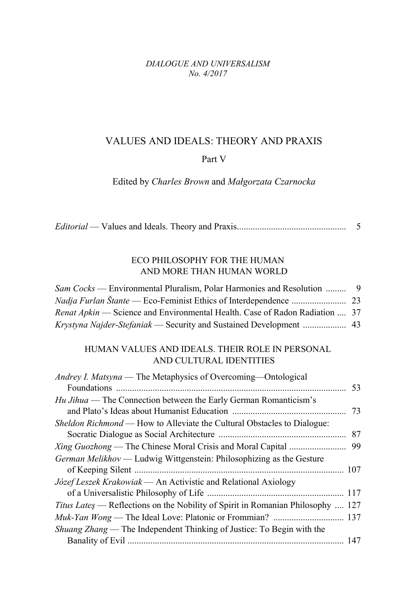#### *DIALOGUE AND UNIVERSALISM No. 4/2017*

### VALUES AND IDEALS: THEORY AND PRAXIS

#### Part V

Edited by *Charles Brown* and *Małgorzata Czarnocka*

|--|--|--|--|

## ECO PHILOSOPHY FOR THE HUMAN AND MORE THAN HUMAN WORLD

| <i>Sam Cocks</i> — Environmental Pluralism, Polar Harmonies and Resolution  9 |  |
|-------------------------------------------------------------------------------|--|
|                                                                               |  |
| Renat Apkin — Science and Environmental Health. Case of Radon Radiation  37   |  |
|                                                                               |  |

## HUMAN VALUES AND IDEALS. THEIR ROLE IN PERSONAL AND CULTURAL IDENTITIES

| Andrey I. Matsyna — The Metaphysics of Overcoming—Ontological                   |    |
|---------------------------------------------------------------------------------|----|
|                                                                                 | 53 |
| <i>Hu Jihua</i> — The Connection between the Early German Romanticism's         |    |
|                                                                                 | 73 |
| Sheldon Richmond — How to Alleviate the Cultural Obstacles to Dialogue:         |    |
|                                                                                 | 87 |
|                                                                                 | 99 |
| <i>German Melikhov</i> — Ludwig Wittgenstein: Philosophizing as the Gesture     |    |
|                                                                                 |    |
| Józef Leszek Krakowiak — An Activistic and Relational Axiology                  |    |
|                                                                                 |    |
| Titus Lates — Reflections on the Nobility of Spirit in Romanian Philosophy  127 |    |
|                                                                                 |    |
| <i>Shuang Zhang</i> — The Independent Thinking of Justice: To Begin with the    |    |
|                                                                                 |    |
|                                                                                 |    |